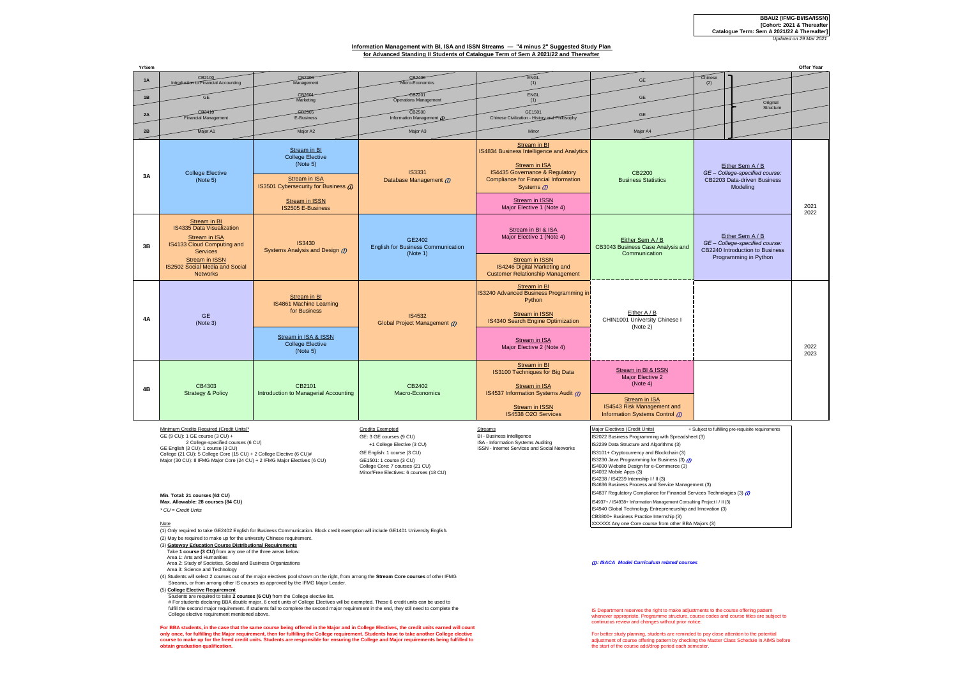## **Information Management with BI, ISA and ISSN Streams — "4 minus 2" Suggested Study Plan for Advanced Standing II Students of Catalogue Term of Sem A 2021/22 and Thereafter**

| Yr/Sen                                                                                                                                                                                                                                                                                                                                                                                                                                                                                                                                                                                                                                                                                                                                                                          |                                                                                                                                                                                                                                                                                                                                                                                                                                                                                                                                                                                                                                                                                                                                                                                                                                                                                                                                                                                                                                                                                                                                                                                                                                                                                                                                                                                                       |                                                                                                                                                                           |                                                                 |                                                                                                                                                                                                                            |                                                                                                                                                                                                                                                                                                                                                                                                                                                                                                                                                                                                                                                                                                                                                                                  |                                                                                                                | <b>Offer Year</b> |
|---------------------------------------------------------------------------------------------------------------------------------------------------------------------------------------------------------------------------------------------------------------------------------------------------------------------------------------------------------------------------------------------------------------------------------------------------------------------------------------------------------------------------------------------------------------------------------------------------------------------------------------------------------------------------------------------------------------------------------------------------------------------------------|-------------------------------------------------------------------------------------------------------------------------------------------------------------------------------------------------------------------------------------------------------------------------------------------------------------------------------------------------------------------------------------------------------------------------------------------------------------------------------------------------------------------------------------------------------------------------------------------------------------------------------------------------------------------------------------------------------------------------------------------------------------------------------------------------------------------------------------------------------------------------------------------------------------------------------------------------------------------------------------------------------------------------------------------------------------------------------------------------------------------------------------------------------------------------------------------------------------------------------------------------------------------------------------------------------------------------------------------------------------------------------------------------------|---------------------------------------------------------------------------------------------------------------------------------------------------------------------------|-----------------------------------------------------------------|----------------------------------------------------------------------------------------------------------------------------------------------------------------------------------------------------------------------------|----------------------------------------------------------------------------------------------------------------------------------------------------------------------------------------------------------------------------------------------------------------------------------------------------------------------------------------------------------------------------------------------------------------------------------------------------------------------------------------------------------------------------------------------------------------------------------------------------------------------------------------------------------------------------------------------------------------------------------------------------------------------------------|----------------------------------------------------------------------------------------------------------------|-------------------|
| 1A                                                                                                                                                                                                                                                                                                                                                                                                                                                                                                                                                                                                                                                                                                                                                                              | CB2100<br><b>TO Financial Accounting</b>                                                                                                                                                                                                                                                                                                                                                                                                                                                                                                                                                                                                                                                                                                                                                                                                                                                                                                                                                                                                                                                                                                                                                                                                                                                                                                                                                              | CB2300<br>Management                                                                                                                                                      | CB2400<br>Micro-Economics                                       | ENGL<br>(1)                                                                                                                                                                                                                | GE                                                                                                                                                                                                                                                                                                                                                                                                                                                                                                                                                                                                                                                                                                                                                                               | Chinese<br>(2)                                                                                                 |                   |
| 1B                                                                                                                                                                                                                                                                                                                                                                                                                                                                                                                                                                                                                                                                                                                                                                              | <b>GF</b>                                                                                                                                                                                                                                                                                                                                                                                                                                                                                                                                                                                                                                                                                                                                                                                                                                                                                                                                                                                                                                                                                                                                                                                                                                                                                                                                                                                             | CB2604<br>Marketing                                                                                                                                                       | <b>CB2201</b><br>Operations Managemer                           | ENGL<br>(1)                                                                                                                                                                                                                | GE                                                                                                                                                                                                                                                                                                                                                                                                                                                                                                                                                                                                                                                                                                                                                                               | Original                                                                                                       |                   |
| 2A                                                                                                                                                                                                                                                                                                                                                                                                                                                                                                                                                                                                                                                                                                                                                                              | CB3410<br>inancial Management                                                                                                                                                                                                                                                                                                                                                                                                                                                                                                                                                                                                                                                                                                                                                                                                                                                                                                                                                                                                                                                                                                                                                                                                                                                                                                                                                                         | GB <sub>2505</sub><br>E-Business                                                                                                                                          | CB2500<br>Information Management @                              | GE1501<br>Chinese Civilization - History and Philosophy                                                                                                                                                                    | GE                                                                                                                                                                                                                                                                                                                                                                                                                                                                                                                                                                                                                                                                                                                                                                               | Structure                                                                                                      |                   |
| 2B                                                                                                                                                                                                                                                                                                                                                                                                                                                                                                                                                                                                                                                                                                                                                                              | Major A1                                                                                                                                                                                                                                                                                                                                                                                                                                                                                                                                                                                                                                                                                                                                                                                                                                                                                                                                                                                                                                                                                                                                                                                                                                                                                                                                                                                              | Major A2                                                                                                                                                                  | Major A3                                                        | Minor                                                                                                                                                                                                                      | Major A4                                                                                                                                                                                                                                                                                                                                                                                                                                                                                                                                                                                                                                                                                                                                                                         |                                                                                                                |                   |
| 3A                                                                                                                                                                                                                                                                                                                                                                                                                                                                                                                                                                                                                                                                                                                                                                              | <b>College Elective</b><br>(Note 5)                                                                                                                                                                                                                                                                                                                                                                                                                                                                                                                                                                                                                                                                                                                                                                                                                                                                                                                                                                                                                                                                                                                                                                                                                                                                                                                                                                   | Stream in BI<br><b>College Elective</b><br>(Note 5)<br><b>Stream in ISA</b><br>IS3501 Cybersecurity for Business (7)<br><b>Stream in ISSN</b><br><b>IS2505 E-Business</b> | <b>IS3331</b><br>Database Management (D)                        | Stream in BI<br>IS4834 Business Intelligence and Analytics<br>Stream in ISA<br>IS4435 Governance & Regulatory<br><b>Compliance for Financial Information</b><br>Systems (D)<br>Stream in ISSN<br>Major Elective 1 (Note 4) | CB2200<br><b>Business Statistics</b>                                                                                                                                                                                                                                                                                                                                                                                                                                                                                                                                                                                                                                                                                                                                             | Either Sem A / B<br>GE - College-specified course:<br>CB2203 Data-driven Business<br>Modeling                  | 2021              |
| 3B                                                                                                                                                                                                                                                                                                                                                                                                                                                                                                                                                                                                                                                                                                                                                                              | Stream in BI<br>IS4335 Data Visualization<br><b>Stream in ISA</b><br>IS4133 Cloud Computing and<br><b>Services</b><br><b>Stream in ISSN</b><br>IS2502 Social Media and Social<br><b>Networks</b>                                                                                                                                                                                                                                                                                                                                                                                                                                                                                                                                                                                                                                                                                                                                                                                                                                                                                                                                                                                                                                                                                                                                                                                                      | <b>IS3430</b><br>Systems Analysis and Design (D)                                                                                                                          | GE2402<br><b>English for Business Communication</b><br>(Note 1) | Stream in BI & ISA<br>Major Elective 1 (Note 4)<br><b>Stream in ISSN</b><br>IS4246 Digital Marketing and<br><b>Customer Relationship Management</b>                                                                        | Either Sem A / B<br>CB3043 Business Case Analysis and<br>Communication                                                                                                                                                                                                                                                                                                                                                                                                                                                                                                                                                                                                                                                                                                           | Either Sem A / B<br>GE - College-specified course:<br>CB2240 Introduction to Business<br>Programming in Python | 2022              |
| 4A                                                                                                                                                                                                                                                                                                                                                                                                                                                                                                                                                                                                                                                                                                                                                                              | <b>GE</b><br>(Note 3)                                                                                                                                                                                                                                                                                                                                                                                                                                                                                                                                                                                                                                                                                                                                                                                                                                                                                                                                                                                                                                                                                                                                                                                                                                                                                                                                                                                 | Stream in BI<br>IS4861 Machine Learning<br>for Business<br>Stream in ISA & ISSN<br><b>College Elective</b><br>(Note 5)                                                    | <b>IS4532</b><br>Global Project Management (D)                  | Stream in BI<br>IS3240 Advanced Business Programming in<br>Python<br><b>Stream in ISSN</b><br>IS4340 Search Engine Optimization<br>Stream in ISA<br>Major Elective 2 (Note 4)                                              | Either A / B<br>CHIN1001 University Chinese I<br>(Note 2)                                                                                                                                                                                                                                                                                                                                                                                                                                                                                                                                                                                                                                                                                                                        |                                                                                                                | 2022<br>2023      |
| 4B                                                                                                                                                                                                                                                                                                                                                                                                                                                                                                                                                                                                                                                                                                                                                                              | CB4303<br><b>Strategy &amp; Policy</b>                                                                                                                                                                                                                                                                                                                                                                                                                                                                                                                                                                                                                                                                                                                                                                                                                                                                                                                                                                                                                                                                                                                                                                                                                                                                                                                                                                | CB2101<br>Introduction to Managerial Accounting                                                                                                                           | CB2402<br>Macro-Economics                                       | Stream in BI<br>IS3100 Techniques for Big Data<br><b>Stream in ISA</b><br>IS4537 Information Systems Audit (7)<br><b>Stream in ISSN</b><br>IS4538 O2O Services                                                             | Stream in BI & ISSN<br>Major Elective 2<br>(Note 4)<br><b>Stream in ISA</b><br>IS4543 Risk Management and<br>Information Systems Control (7)                                                                                                                                                                                                                                                                                                                                                                                                                                                                                                                                                                                                                                     |                                                                                                                |                   |
| Minimum Credits Required (Credit Units)*<br><b>Credits Exempted</b><br>Streams<br>GE (9 CU): 1 GE course (3 CU) +<br>BI - Business Intelligence<br>GE: 3 GE courses (9 CU)<br>2 College-specified courses (6 CU)<br>ISA - Information Systems Auditing<br>+1 College Elective (3 CU)<br>GE English (3 CU): 1 course (3 CU)<br>ISSN - Internet Services and Social Networks<br>GE English: 1 course (3 CU)<br>College (21 CU): 5 College Core (15 CU) + 2 College Elective (6 CU)#<br>Major (30 CU): 8 IFMG Major Core (24 CU) + 2 IFMG Major Electives (6 CU)<br>GE1501: 1 course (3 CU)<br>College Core: 7 courses (21 CU)<br>Minor/Free Electives: 6 courses (18 CU)<br>Min. Total: 21 courses (63 CU)<br>Max. Allowable: 28 courses (84 CU)<br>* $CU = Credit$ Units<br>Note |                                                                                                                                                                                                                                                                                                                                                                                                                                                                                                                                                                                                                                                                                                                                                                                                                                                                                                                                                                                                                                                                                                                                                                                                                                                                                                                                                                                                       |                                                                                                                                                                           |                                                                 |                                                                                                                                                                                                                            | Major Electives (Credit Units)<br>+ Subject to fulfilling pre-requisite requirements<br>IS2022 Business Programming with Spreadsheet (3)<br>IS2239 Data Structure and Algorithms (3)<br>IS3101+ Cryptocurrency and Blockchain (3)<br>IS3230 Java Programming for Business (3) (D)<br>IS4030 Website Design for e-Commerce (3)<br>IS4032 Mobile Apps (3)<br>IS4238 / IS4239 Internship I / II (3)<br>IS4636 Business Process and Service Management (3)<br>IS4837 Regulatory Compliance for Financial Services Technologies (3) (D)<br>IS4937+ / IS4938+ Information Management Consulting Project I / II (3)<br>IS4940 Global Technology Entrepreneurship and Innovation (3)<br>CB3800+ Business Practice Internship (3)<br>XXXXXX Any one Core course from other BBA Majors (3) |                                                                                                                |                   |
|                                                                                                                                                                                                                                                                                                                                                                                                                                                                                                                                                                                                                                                                                                                                                                                 | (1) Only required to take GE2402 English for Business Communication. Block credit exemption will include GE1401 University English.<br>(2) May be required to make up for the university Chinese requirement.<br>(3) Gateway Education Course Distributional Requirements<br>Take 1 course (3 CU) from any one of the three areas below:<br>Area 1: Arts and Humanities<br>(D: ISACA Model Curriculum related courses<br>Area 2: Study of Societies, Social and Business Organizations<br>Area 3: Science and Technology<br>(4) Students will select 2 courses out of the major electives pool shown on the right, from among the Stream Core courses of other IFMG<br>Streams, or from among other IS courses as approved by the IFMG Major Leader.<br>(5) College Elective Requirement<br>Students are required to take 2 courses (6 CU) from the College elective list.<br># For students declaring BBA double major, 6 credit units of College Electives will be exempted. These 6 credit units can be used to<br>fulfill the second major requirement. If students fail to complete the second major requirement in the end, they still need to complete the<br>IS Department reserves the right to make adjustments to the course offering pattern<br>College elective requirement mentioned above.<br>whenever appropriate. Programme structure, course codes and course titles are subject to |                                                                                                                                                                           |                                                                 |                                                                                                                                                                                                                            |                                                                                                                                                                                                                                                                                                                                                                                                                                                                                                                                                                                                                                                                                                                                                                                  |                                                                                                                |                   |
| For BBA students, in the case that the same course being offered in the Major and in College Electives, the credit units earned will count<br>only once, for fulfilling the Major requirement, then for fulfilling the College requirement. Students have to take another College elective<br>course to make up for the freed credit units. Students are responsible for ensuring the College and Major requirements being fulfilled to<br>obtain graduation qualification.                                                                                                                                                                                                                                                                                                     |                                                                                                                                                                                                                                                                                                                                                                                                                                                                                                                                                                                                                                                                                                                                                                                                                                                                                                                                                                                                                                                                                                                                                                                                                                                                                                                                                                                                       |                                                                                                                                                                           |                                                                 |                                                                                                                                                                                                                            | continuous review and changes without prior notice.<br>For better study planning, students are reminded to pay close attention to the potential<br>adjustment of course offering pattern by checking the Master Class Schedule in AIMS before<br>the start of the course add/drop period each semester.                                                                                                                                                                                                                                                                                                                                                                                                                                                                          |                                                                                                                |                   |